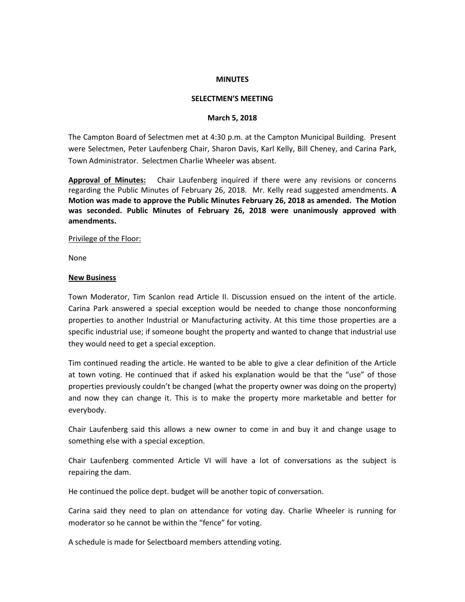### **MINUTES**

### **SELECTMEN'S MEETING**

### **March 5, 2018**

The Campton Board of Selectmen met at 4:30 p.m. at the Campton Municipal Building. Present were Selectmen, Peter Laufenberg Chair, Sharon Davis, Karl Kelly, Bill Cheney, and Carina Park, Town Administrator. Selectmen Charlie Wheeler was absent.

**Approval of Minutes:** Chair Laufenberg inquired if there were any revisions or concerns regarding the Public Minutes of February 26, 2018. Mr. Kelly read suggested amendments. **A Motion was made to approve the Public Minutes February 26, 2018 as amended. The Motion was seconded. Public Minutes of February 26, 2018 were unanimously approved with amendments.** 

#### Privilege of the Floor:

None

#### **New Business**

Town Moderator, Tim Scanlon read Article II. Discussion ensued on the intent of the article. Carina Park answered a special exception would be needed to change those nonconforming properties to another Industrial or Manufacturing activity. At this time those properties are a specific industrial use; if someone bought the property and wanted to change that industrial use they would need to get a special exception.

Tim continued reading the article. He wanted to be able to give a clear definition of the Article at town voting. He continued that if asked his explanation would be that the "use" of those properties previously couldn't be changed (what the property owner was doing on the property) and now they can change it. This is to make the property more marketable and better for everybody.

Chair Laufenberg said this allows a new owner to come in and buy it and change usage to something else with a special exception.

Chair Laufenberg commented Article VI will have a lot of conversations as the subject is repairing the dam.

He continued the police dept. budget will be another topic of conversation.

Carina said they need to plan on attendance for voting day. Charlie Wheeler is running for moderator so he cannot be within the "fence" for voting.

A schedule is made for Selectboard members attending voting.